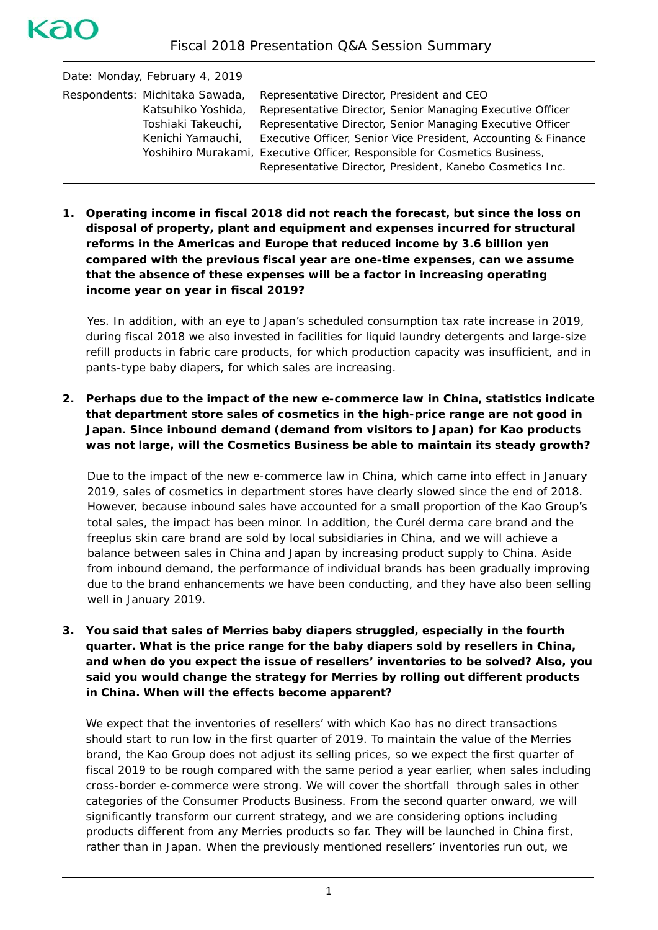| Date: Monday, February 4, 2019 |                                                                            |
|--------------------------------|----------------------------------------------------------------------------|
| Respondents: Michitaka Sawada, | Representative Director, President and CEO                                 |
| Katsuhiko Yoshida,             | Representative Director, Senior Managing Executive Officer                 |
| Toshiaki Takeuchi,             | Representative Director, Senior Managing Executive Officer                 |
| Kenichi Yamauchi,              | Executive Officer, Senior Vice President, Accounting & Finance             |
|                                | Yoshihiro Murakami, Executive Officer, Responsible for Cosmetics Business, |
|                                | Representative Director, President, Kanebo Cosmetics Inc.                  |
|                                |                                                                            |

**1. Operating income in fiscal 2018 did not reach the forecast, but since the loss on disposal of property, plant and equipment and expenses incurred for structural reforms in the Americas and Europe that reduced income by 3.6 billion yen compared with the previous fiscal year are one-time expenses, can we assume that the absence of these expenses will be a factor in increasing operating income year on year in fiscal 2019?**

Yes. In addition, with an eye to Japan's scheduled consumption tax rate increase in 2019, during fiscal 2018 we also invested in facilities for liquid laundry detergents and large-size refill products in fabric care products, for which production capacity was insufficient, and in pants-type baby diapers, for which sales are increasing.

**2. Perhaps due to the impact of the new e-commerce law in China, statistics indicate that department store sales of cosmetics in the high-price range are not good in Japan. Since inbound demand (demand from visitors to Japan) for Kao products was not large, will the Cosmetics Business be able to maintain its steady growth?**

Due to the impact of the new e-commerce law in China, which came into effect in January 2019, sales of cosmetics in department stores have clearly slowed since the end of 2018. However, because inbound sales have accounted for a small proportion of the Kao Group's total sales, the impact has been minor. In addition, the *Curél* derma care brand and the *freeplus* skin care brand are sold by local subsidiaries in China, and we will achieve a balance between sales in China and Japan by increasing product supply to China. Aside from inbound demand, the performance of individual brands has been gradually improving due to the brand enhancements we have been conducting, and they have also been selling well in January 2019.

**3. You said that sales of** *Merries* **baby diapers struggled, especially in the fourth quarter. What is the price range for the baby diapers sold by resellers in China, and when do you expect the issue of resellers' inventories to be solved? Also, you said you would change the strategy for** *Merries* **by rolling out different products in China. When will the effects become apparent?** 

We expect that the inventories of resellers' with which Kao has no direct transactions should start to run low in the first quarter of 2019. To maintain the value of the *Merries* brand, the Kao Group does not adjust its selling prices, so we expect the first quarter of fiscal 2019 to be rough compared with the same period a year earlier, when sales including cross-border e-commerce were strong. We will cover the shortfall through sales in other categories of the Consumer Products Business. From the second quarter onward, we will significantly transform our current strategy, and we are considering options including products different from any *Merries* products so far. They will be launched in China first, rather than in Japan. When the previously mentioned resellers' inventories run out, we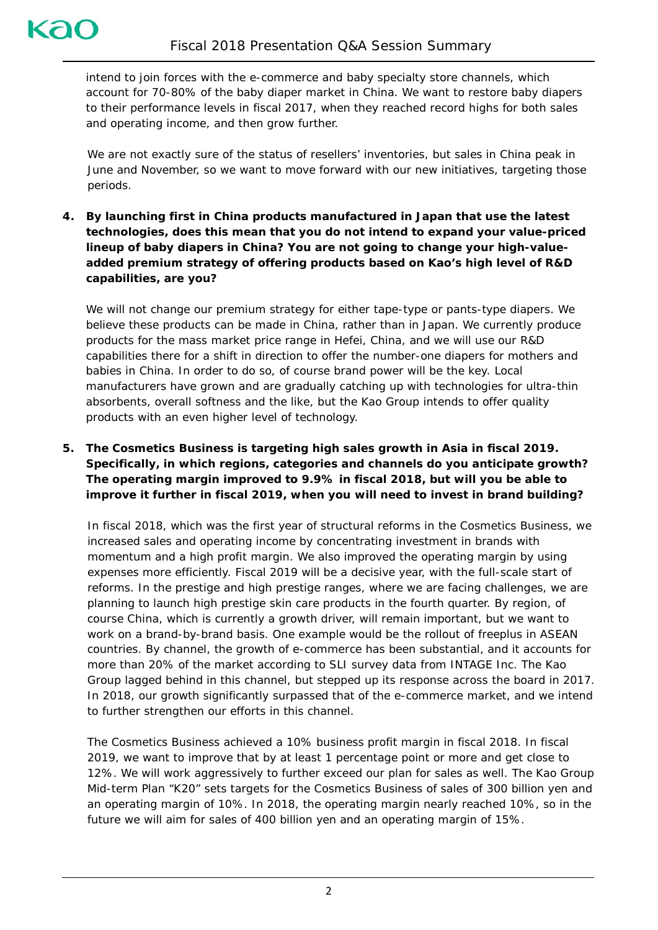intend to join forces with the e-commerce and baby specialty store channels, which account for 70-80% of the baby diaper market in China. We want to restore baby diapers to their performance levels in fiscal 2017, when they reached record highs for both sales and operating income, and then grow further.

We are not exactly sure of the status of resellers' inventories, but sales in China peak in June and November, so we want to move forward with our new initiatives, targeting those periods.

**4. By launching first in China products manufactured in Japan that use the latest technologies, does this mean that you do not intend to expand your value-priced lineup of baby diapers in China? You are not going to change your high-valueadded premium strategy of offering products based on Kao's high level of R&D capabilities, are you?**

We will not change our premium strategy for either tape-type or pants-type diapers. We believe these products can be made in China, rather than in Japan. We currently produce products for the mass market price range in Hefei, China, and we will use our R&D capabilities there for a shift in direction to offer the number-one diapers for mothers and babies in China. In order to do so, of course brand power will be the key. Local manufacturers have grown and are gradually catching up with technologies for ultra-thin absorbents, overall softness and the like, but the Kao Group intends to offer quality products with an even higher level of technology.

## **5. The Cosmetics Business is targeting high sales growth in Asia in fiscal 2019. Specifically, in which regions, categories and channels do you anticipate growth? The operating margin improved to 9.9% in fiscal 2018, but will you be able to improve it further in fiscal 2019, when you will need to invest in brand building?**

In fiscal 2018, which was the first year of structural reforms in the Cosmetics Business, we increased sales and operating income by concentrating investment in brands with momentum and a high profit margin. We also improved the operating margin by using expenses more efficiently. Fiscal 2019 will be a decisive year, with the full-scale start of reforms. In the prestige and high prestige ranges, where we are facing challenges, we are planning to launch high prestige skin care products in the fourth quarter. By region, of course China, which is currently a growth driver, will remain important, but we want to work on a brand-by-brand basis. One example would be the rollout of *freeplus* in ASEAN countries. By channel, the growth of e-commerce has been substantial, and it accounts for more than 20% of the market according to SLI survey data from INTAGE Inc. The Kao Group lagged behind in this channel, but stepped up its response across the board in 2017. In 2018, our growth significantly surpassed that of the e-commerce market, and we intend to further strengthen our efforts in this channel.

The Cosmetics Business achieved a 10% business profit margin in fiscal 2018. In fiscal 2019, we want to improve that by at least 1 percentage point or more and get close to 12%. We will work aggressively to further exceed our plan for sales as well. The Kao Group Mid-term Plan "K20" sets targets for the Cosmetics Business of sales of 300 billion yen and an operating margin of 10%. In 2018, the operating margin nearly reached 10%, so in the future we will aim for sales of 400 billion yen and an operating margin of 15%.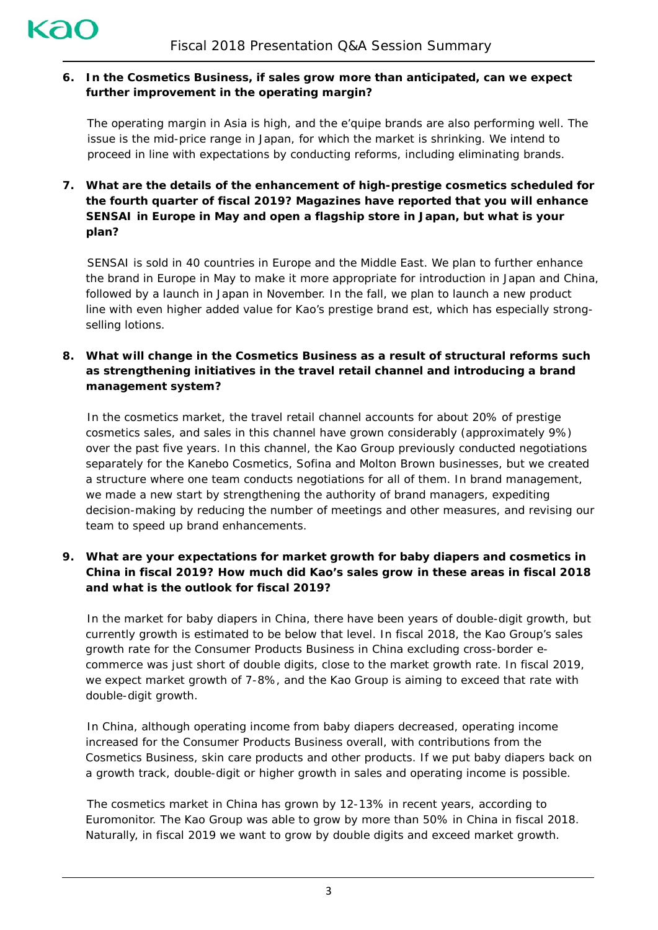#### **6. In the Cosmetics Business, if sales grow more than anticipated, can we expect further improvement in the operating margin?**

The operating margin in Asia is high, and the e'quipe brands are also performing well. The issue is the mid-price range in Japan, for which the market is shrinking. We intend to proceed in line with expectations by conducting reforms, including eliminating brands.

## **7. What are the details of the enhancement of high-prestige cosmetics scheduled for the fourth quarter of fiscal 2019? Magazines have reported that you will enhance** *SENSAI* **in Europe in May and open a flagship store in Japan, but what is your plan?**

*SENSAI* is sold in 40 countries in Europe and the Middle East. We plan to further enhance the brand in Europe in May to make it more appropriate for introduction in Japan and China, followed by a launch in Japan in November. In the fall, we plan to launch a new product line with even higher added value for Kao's prestige brand *est*, which has especially strongselling lotions.

# **8. What will change in the Cosmetics Business as a result of structural reforms such as strengthening initiatives in the travel retail channel and introducing a brand management system?**

In the cosmetics market, the travel retail channel accounts for about 20% of prestige cosmetics sales, and sales in this channel have grown considerably (approximately 9%) over the past five years. In this channel, the Kao Group previously conducted negotiations separately for the Kanebo Cosmetics, Sofina and Molton Brown businesses, but we created a structure where one team conducts negotiations for all of them. In brand management, we made a new start by strengthening the authority of brand managers, expediting decision-making by reducing the number of meetings and other measures, and revising our team to speed up brand enhancements.

## **9. What are your expectations for market growth for baby diapers and cosmetics in China in fiscal 2019? How much did Kao's sales grow in these areas in fiscal 2018 and what is the outlook for fiscal 2019?**

In the market for baby diapers in China, there have been years of double-digit growth, but currently growth is estimated to be below that level. In fiscal 2018, the Kao Group's sales growth rate for the Consumer Products Business in China excluding cross-border ecommerce was just short of double digits, close to the market growth rate. In fiscal 2019, we expect market growth of 7-8%, and the Kao Group is aiming to exceed that rate with double-digit growth.

In China, although operating income from baby diapers decreased, operating income increased for the Consumer Products Business overall, with contributions from the Cosmetics Business, skin care products and other products. If we put baby diapers back on a growth track, double-digit or higher growth in sales and operating income is possible.

The cosmetics market in China has grown by 12-13% in recent years, according to Euromonitor. The Kao Group was able to grow by more than 50% in China in fiscal 2018. Naturally, in fiscal 2019 we want to grow by double digits and exceed market growth.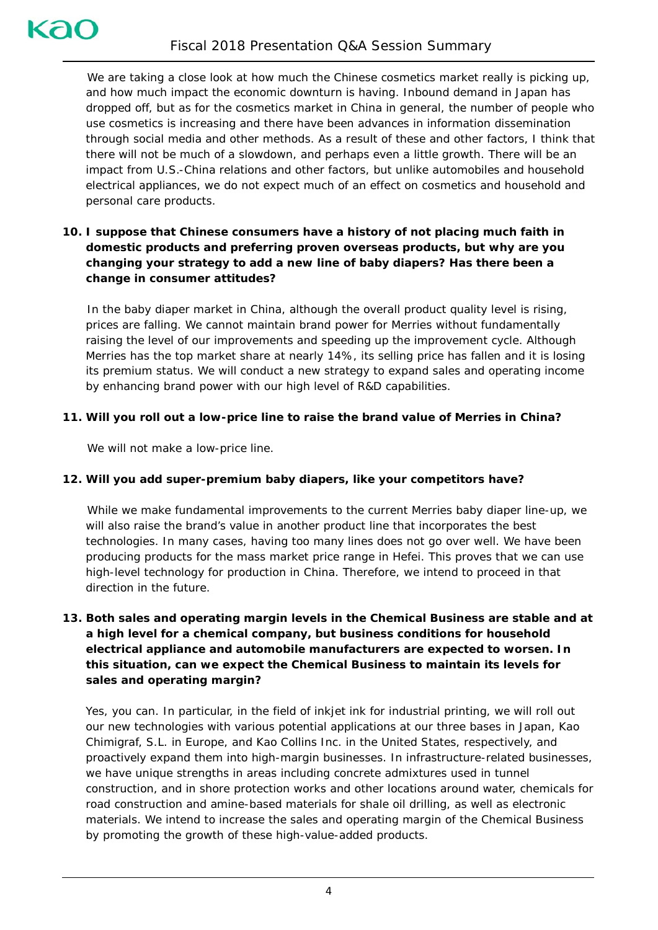We are taking a close look at how much the Chinese cosmetics market really is picking up, and how much impact the economic downturn is having. Inbound demand in Japan has dropped off, but as for the cosmetics market in China in general, the number of people who use cosmetics is increasing and there have been advances in information dissemination through social media and other methods. As a result of these and other factors, I think that there will not be much of a slowdown, and perhaps even a little growth. There will be an impact from U.S.-China relations and other factors, but unlike automobiles and household electrical appliances, we do not expect much of an effect on cosmetics and household and personal care products.

# **10. I suppose that Chinese consumers have a history of not placing much faith in domestic products and preferring proven overseas products, but why are you changing your strategy to add a new line of baby diapers? Has there been a change in consumer attitudes?**

In the baby diaper market in China, although the overall product quality level is rising, prices are falling. We cannot maintain brand power for *Merries* without fundamentally raising the level of our improvements and speeding up the improvement cycle. Although *Merries* has the top market share at nearly 14%, its selling price has fallen and it is losing its premium status. We will conduct a new strategy to expand sales and operating income by enhancing brand power with our high level of R&D capabilities.

### **11. Will you roll out a low-price line to raise the brand value of** *Merries* **in China?**

We will not make a low-price line.

# **12. Will you add super-premium baby diapers, like your competitors have?**

While we make fundamental improvements to the current *Merries* baby diaper line-up, we will also raise the brand's value in another product line that incorporates the best technologies. In many cases, having too many lines does not go over well. We have been producing products for the mass market price range in Hefei. This proves that we can use high-level technology for production in China. Therefore, we intend to proceed in that direction in the future.

# **13. Both sales and operating margin levels in the Chemical Business are stable and at a high level for a chemical company, but business conditions for household electrical appliance and automobile manufacturers are expected to worsen. In this situation, can we expect the Chemical Business to maintain its levels for sales and operating margin?**

Yes, you can. In particular, in the field of inkjet ink for industrial printing, we will roll out our new technologies with various potential applications at our three bases in Japan, Kao Chimigraf, S.L. in Europe, and Kao Collins Inc. in the United States, respectively, and proactively expand them into high-margin businesses. In infrastructure-related businesses, we have unique strengths in areas including concrete admixtures used in tunnel construction, and in shore protection works and other locations around water, chemicals for road construction and amine-based materials for shale oil drilling, as well as electronic materials. We intend to increase the sales and operating margin of the Chemical Business by promoting the growth of these high-value-added products.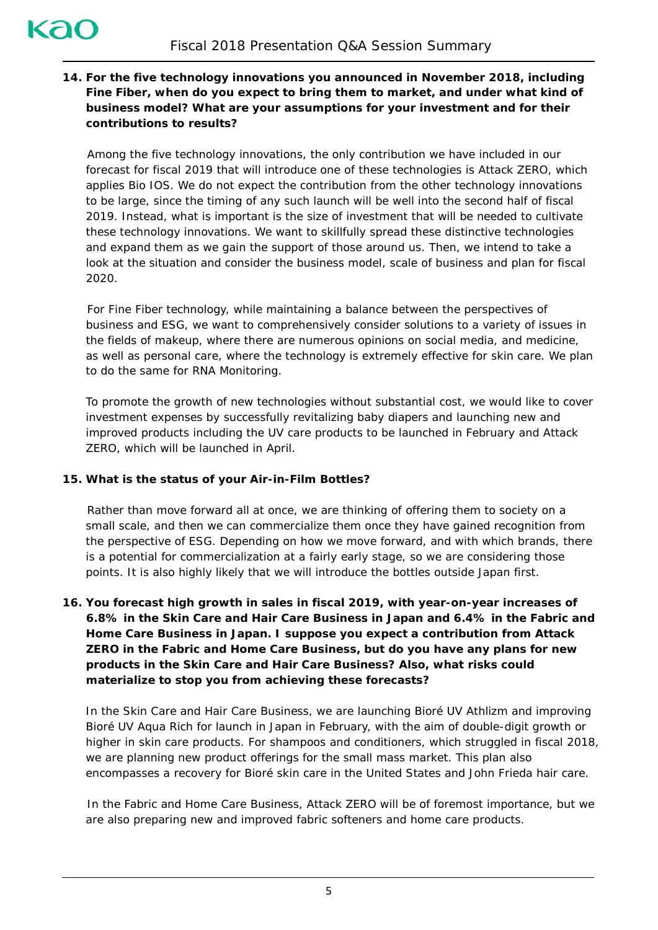## **14. For the five technology innovations you announced in November 2018, including Fine Fiber, when do you expect to bring them to market, and under what kind of business model? What are your assumptions for your investment and for their contributions to results?**

Among the five technology innovations, the only contribution we have included in our forecast for fiscal 2019 that will introduce one of these technologies is *Attack ZERO*, which applies Bio IOS. We do not expect the contribution from the other technology innovations to be large, since the timing of any such launch will be well into the second half of fiscal 2019. Instead, what is important is the size of investment that will be needed to cultivate these technology innovations. We want to skillfully spread these distinctive technologies and expand them as we gain the support of those around us. Then, we intend to take a look at the situation and consider the business model, scale of business and plan for fiscal 2020.

For Fine Fiber technology, while maintaining a balance between the perspectives of business and ESG, we want to comprehensively consider solutions to a variety of issues in the fields of makeup, where there are numerous opinions on social media, and medicine, as well as personal care, where the technology is extremely effective for skin care. We plan to do the same for RNA Monitoring.

To promote the growth of new technologies without substantial cost, we would like to cover investment expenses by successfully revitalizing baby diapers and launching new and improved products including the UV care products to be launched in February and *Attack ZERO*, which will be launched in April.

# **15. What is the status of your Air-in-Film Bottles?**

Rather than move forward all at once, we are thinking of offering them to society on a small scale, and then we can commercialize them once they have gained recognition from the perspective of ESG. Depending on how we move forward, and with which brands, there is a potential for commercialization at a fairly early stage, so we are considering those points. It is also highly likely that we will introduce the bottles outside Japan first.

## **16. You forecast high growth in sales in fiscal 2019, with year-on-year increases of 6.8% in the Skin Care and Hair Care Business in Japan and 6.4% in the Fabric and Home Care Business in Japan. I suppose you expect a contribution from** *Attack ZERO* **in the Fabric and Home Care Business, but do you have any plans for new products in the Skin Care and Hair Care Business? Also, what risks could materialize to stop you from achieving these forecasts?**

In the Skin Care and Hair Care Business, we are launching *Bioré UV Athlizm* and improving *Bioré UV Aqua Rich* for launch in Japan in February, with the aim of double-digit growth or higher in skin care products. For shampoos and conditioners, which struggled in fiscal 2018, we are planning new product offerings for the small mass market. This plan also encompasses a recovery for *Bioré* skin care in the United States and *John Frieda* hair care.

In the Fabric and Home Care Business, *Attack ZERO* will be of foremost importance, but we are also preparing new and improved fabric softeners and home care products.